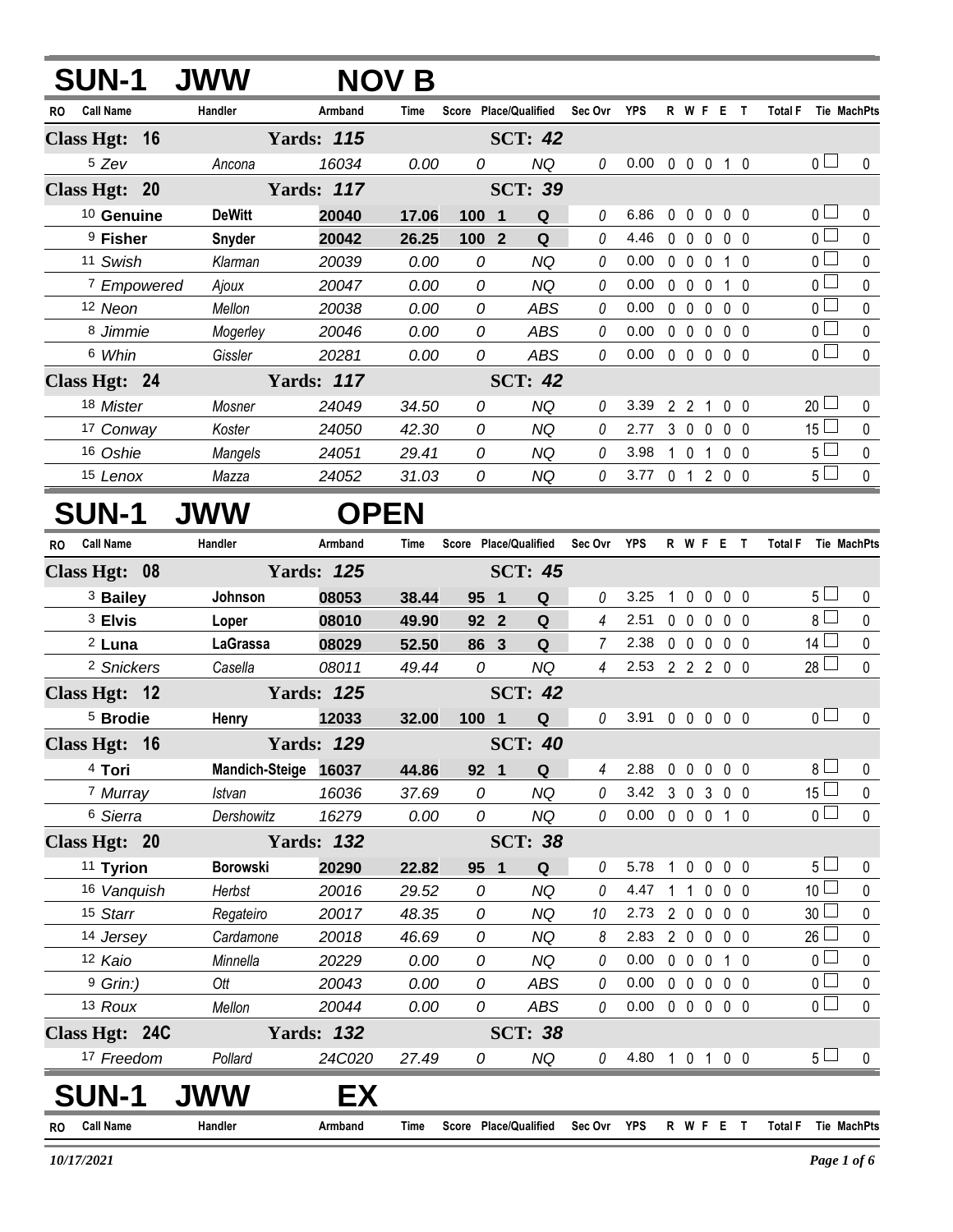| <b>SUN-1</b>                  | <b>JWW</b>            |                   | <b>NOV B</b> |       |                       |                |            |              |                        |                     |                |                 |                    |
|-------------------------------|-----------------------|-------------------|--------------|-------|-----------------------|----------------|------------|--------------|------------------------|---------------------|----------------|-----------------|--------------------|
| <b>Call Name</b><br><b>RO</b> | Handler               | Armband           | Time         |       | Score Place/Qualified | Sec Ovr        | <b>YPS</b> |              | R W F E T              |                     |                | <b>Total F</b>  | Tie MachPts        |
| Class Hgt: 16                 |                       | <b>Yards: 115</b> |              |       | <b>SCT: 42</b>        |                |            |              |                        |                     |                |                 |                    |
| <sup>5</sup> Zev              | Ancona                | 16034             | 0.00         | 0     | <b>NQ</b>             | 0              | 0.00       |              | 0 0 0 1 0              |                     |                | 0 <sub>l</sub>  | 0                  |
| Class Hgt: 20                 |                       | <b>Yards: 117</b> |              |       | <b>SCT: 39</b>        |                |            |              |                        |                     |                |                 |                    |
| <sup>10</sup> Genuine         | <b>DeWitt</b>         | 20040             | 17.06        | 100 1 | Q                     | 0              | 6.86       | $\mathbf{0}$ | $\mathbf{0}$           | $\mathbf 0$         | 0 <sub>0</sub> | 0 <sub>1</sub>  | 0                  |
| <sup>9</sup> Fisher           | Snyder                | 20042             | 26.25        | 100 2 | Q                     | $\theta$       | 4.46       | $\mathbf 0$  | $0\quad 0$             |                     | 0 <sub>0</sub> | $\overline{0}$  | $\mathbf 0$        |
| 11 Swish                      | Klarman               | 20039             | 0.00         | 0     | <b>NQ</b>             | 0              | 0.00       | 0            | $\mathbf 0$            | 0                   | 10             | 0 <sup>1</sup>  | 0                  |
| <sup>7</sup> Empowered        | Ajoux                 | 20047             | 0.00         | 0     | NQ                    | 0              | 0.00       |              | $0\quad 0\quad 0$      |                     | 10             | 0 <sub>1</sub>  | $\mathbf 0$        |
| 12 Neon                       | Mellon                | 20038             | 0.00         | 0     | <b>ABS</b>            | 0              | 0.00       | $\mathbf{0}$ | $\mathbf{0}$           | $\mathbf{0}$        | 0 <sub>0</sub> | $\overline{0}$  | 0                  |
| 8 Jimmie                      | Mogerley              | 20046             | 0.00         | 0     | <b>ABS</b>            | 0              | 0.00       | $\mathbf 0$  | 0 <sub>0</sub>         |                     | 0 <sub>0</sub> | $\overline{0}$  | 0                  |
| 6 Whin                        | Gissler               | 20281             | 0.00         | 0     | <b>ABS</b>            | 0              | 0.00       |              | $0\quad 0\quad 0\quad$ |                     | $0\quad 0$     | $\overline{0}$  | 0                  |
| Class Hgt: 24                 |                       | <b>Yards: 117</b> |              |       | <b>SCT: 42</b>        |                |            |              |                        |                     |                |                 |                    |
| 18 Mister                     | Mosner                | 24049             | 34.50        | 0     | <b>NQ</b>             | 0              | 3.39       |              | $2 \quad 2 \quad 1$    |                     | 0 <sub>0</sub> | 20 <sup>1</sup> | 0                  |
| 17 Conway                     | Koster                | 24050             | 42.30        | 0     | NQ                    | 0              | 2.77       |              | $3\quad0$              | $\mathbf 0$         | 0 <sub>0</sub> | 15 <sup>1</sup> | 0                  |
| 16 Oshie                      | Mangels               | 24051             | 29.41        | 0     | <b>NQ</b>             | 0              | 3.98       |              | $1\quad0$              | 1                   | 0 <sub>0</sub> | 5 L             | $\mathbf 0$        |
| <sup>15</sup> Lenox           | Mazza                 | 24052             | 31.03        | 0     | NQ                    | 0              | 3.77       |              | 0 1 2 0 0              |                     |                | 5 <sub>1</sub>  | 0                  |
| <b>SUN-1</b>                  | JWW                   | <b>OPEN</b>       |              |       |                       |                |            |              |                        |                     |                |                 |                    |
| <b>Call Name</b><br><b>RO</b> | Handler               | Armband           | Time         |       | Score Place/Qualified | Sec Ovr YPS    |            |              | R W F E T              |                     |                | <b>Total F</b>  | <b>Tie MachPts</b> |
| Class Hgt: 08                 |                       | <b>Yards: 125</b> |              |       | <b>SCT: 45</b>        |                |            |              |                        |                     |                |                 |                    |
| <sup>3</sup> Bailey           | Johnson               | 08053             | 38.44        | 95 1  | Q                     | 0              | 3.25       | 1            | $\mathbf 0$            | $\mathbf 0$         | $0\quad 0$     | 5∟              | 0                  |
| <sup>3</sup> Elvis            | Loper                 | 08010             | 49.90        | 92 2  | Q                     | 4              | 2.51       |              | $0\quad 0\quad 0$      |                     | 0 <sub>0</sub> | $8+$            | $\pmb{0}$          |
| $2$ Luna                      | LaGrassa              | 08029             | 52.50        | 86 3  | Q                     | $\overline{7}$ | 2.38       |              | $0\quad 0\quad 0$      |                     | 0 <sub>0</sub> | $14 \Box$       | 0                  |
| <sup>2</sup> Snickers         | Casella               | 08011             | 49.44        | 0     | <b>NQ</b>             | $\overline{4}$ | 2.53       |              | 2 2 2 0 0              |                     |                | $28 \Box$       | 0                  |
| Class Hgt: 12                 |                       | <b>Yards: 125</b> |              |       | <b>SCT: 42</b>        |                |            |              |                        |                     |                |                 |                    |
| <sup>5</sup> Brodie           | Henry                 | 12033             | 32.00        | 100 1 | Q                     | 0              | 3.91       |              | 00000                  |                     |                | 0 <sub>1</sub>  | 0                  |
| Class Hgt: 16                 |                       | <b>Yards: 129</b> |              |       | <b>SCT: 40</b>        |                |            |              |                        |                     |                |                 |                    |
| 4 Tori                        | <b>Mandich-Steige</b> | 16037             | 44.86        | 92 1  | Q                     | 4              | 2.88       | $\mathbf 0$  | $\mathbf 0$            | $\ddot{\mathbf{0}}$ | $0\quad 0$     | $8\Box$         | 0                  |
| 7 Murray                      | <b>Istvan</b>         | 16036             | 37.69        | 0     | <b>NQ</b>             | 0              | 3.42       |              | $3\quad0$              | $\mathbf{3}$        | $0\quad 0$     | $15\Box$        | 0                  |
| 6 Sierra                      | Dershowitz            | 16279             | 0.00         | 0     | <b>NQ</b>             | 0              | 0.00       |              | $0\quad 0\quad 0$      |                     | $1\quad0$      | 0 <sub>0</sub>  | 0                  |
| Class Hgt: 20                 |                       | <b>Yards: 132</b> |              |       | <b>SCT: 38</b>        |                |            |              |                        |                     |                |                 |                    |
| <sup>11</sup> Tyrion          | <b>Borowski</b>       | 20290             | 22.82        | 95 1  | Q                     | 0              | 5.78       | $\mathbf{1}$ | $\mathbf 0$            | $\mathbf 0$         | $0\quad 0$     | 5 <sub>1</sub>  | 0                  |
| 16 Vanquish                   | Herbst                | 20016             | 29.52        | 0     | <b>NQ</b>             | 0              | 4.47       |              | $1\quad1$              | $\mathbf 0$         | 0 <sub>0</sub> | 10 <sup>1</sup> | 0                  |
| 15 Starr                      | Regateiro             | 20017             | 48.35        | 0     | <b>NQ</b>             | 10             | 2.73       |              | $2\quad0$              | $\mathbf 0$         | $0\quad 0$     | 30 <sup>2</sup> | 0                  |
| 14 Jersey                     | Cardamone             | 20018             | 46.69        | 0     | <b>NQ</b>             | 8              | 2.83       |              | $2\quad 0$             | $\mathbf 0$         | 0 <sub>0</sub> | $26$ $-$        | 0                  |
| 12 Kaio                       | Minnella              | 20229             | 0.00         | 0     | NQ                    | 0              | 0.00       |              | $0\quad 0$             | $\mathbf 0$         | 1 0            | $\overline{0}$  | $\pmb{0}$          |
| $9$ Grin:)                    | Ott                   | 20043             | 0.00         | 0     | <b>ABS</b>            | 0              | 0.00       | $\mathbf 0$  | $\mathbf 0$            | $\mathbf 0$         | 0 <sub>0</sub> | $\overline{0}$  | $\pmb{0}$          |
| 13 Roux                       | Mellon                | 20044             | 0.00         | 0     | ABS                   | 0              | 0.00       |              | 00000                  |                     |                | $\overline{0}$  | $\mathbf 0$        |
| Class Hgt: 24C                |                       | <b>Yards: 132</b> |              |       | <b>SCT: 38</b>        |                |            |              |                        |                     |                |                 |                    |
| 17 Freedom                    | Pollard               | 24C020            | 27.49        | 0     | <b>NQ</b>             | 0              | 4.80       |              | 1 0 1 0 0              |                     |                | 5 <sub>1</sub>  | 0                  |
| <b>SUN-1</b>                  |                       | EX                |              |       |                       |                |            |              |                        |                     |                |                 |                    |
| <b>Call Name</b><br><b>RO</b> | Handler               | Armband           | Time         |       | Score Place/Qualified | Sec Ovr YPS    |            |              | R W F E T              |                     |                | <b>Total F</b>  | Tie MachPts        |

 $\equiv$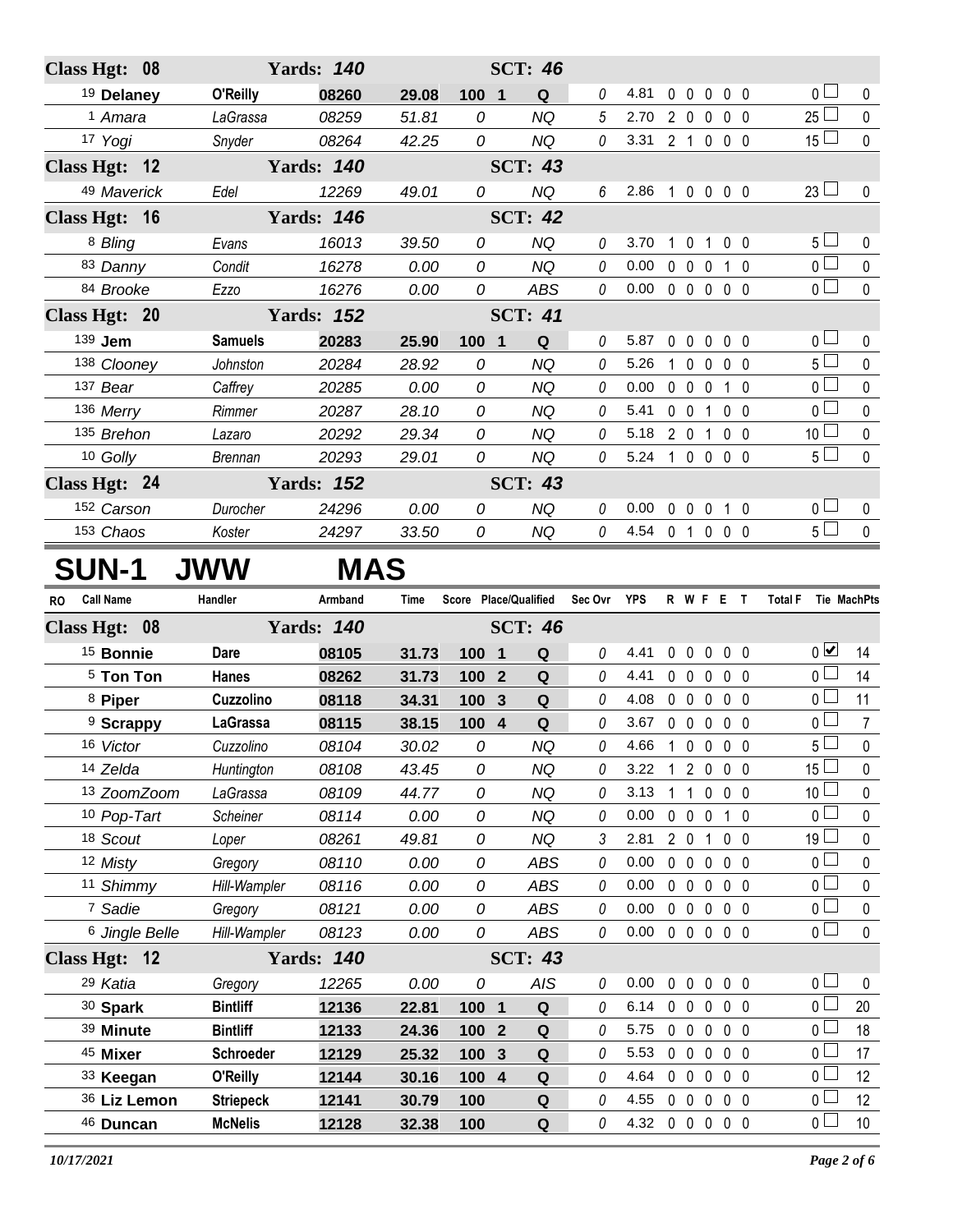| Class Hgt: 08         |                | <b>Yards: 140</b> |       |                     | <b>SCT: 46</b> |   |      |                |                                |                   |                   |                |              |
|-----------------------|----------------|-------------------|-------|---------------------|----------------|---|------|----------------|--------------------------------|-------------------|-------------------|----------------|--------------|
| <sup>19</sup> Delaney | O'Reilly       | 08260             | 29.08 | 100 1               | Q              | 0 | 4.81 | $\Omega$       | $\mathbf 0$<br>$\mathbf 0$     |                   | 0 <sub>0</sub>    | 0 <sub>0</sub> | $\mathbf{0}$ |
| <sup>1</sup> Amara    | LaGrassa       | 08259             | 51.81 | $\theta$            | <b>NQ</b>      | 5 | 2.70 | $2\quad 0$     | $\mathbf{0}$                   |                   | 0 <sub>0</sub>    | $25\lfloor$    | $\mathbf{0}$ |
| 17 Yogi               | Snyder         | 08264             | 42.25 | 0                   | <b>NQ</b>      | 0 | 3.31 | $2 \quad 1$    | $\mathbf 0$                    |                   | 0 <sub>0</sub>    | $15$ $-$       | $\mathbf 0$  |
| Class Hgt: 12         |                | <b>Yards: 140</b> |       |                     | <b>SCT: 43</b> |   |      |                |                                |                   |                   |                |              |
| 49 Maverick           | Edel           | 12269             | 49.01 | 0                   | <b>NQ</b>      | 6 | 2.86 | $\mathbf{1}$   |                                | 0 0 0 0           |                   | $23$ $\Box$    | $\pmb{0}$    |
| Class Hgt: 16         |                | <b>Yards: 146</b> |       |                     | <b>SCT: 42</b> |   |      |                |                                |                   |                   |                |              |
| 8 Bling               | Evans          | 16013             | 39.50 | 0                   | NQ             | 0 | 3.70 | 1.             | $\mathbf 0$<br>1               |                   | 0 <sub>0</sub>    | 5 l            | 0            |
| 83 Danny              | Condit         | 16278             | 0.00  | 0                   | <b>NQ</b>      | 0 | 0.00 | $0\quad 0$     | 0                              |                   | $1\quad0$         | 0 <sub>0</sub> | $\mathbf 0$  |
| 84 Brooke             | Ezzo           | 16276             | 0.00  | 0                   | <b>ABS</b>     | 0 | 0.00 | 0 <sub>0</sub> | $\mathbf{0}$                   |                   | 0 <sub>0</sub>    | 0 <sub>1</sub> | $\mathbf 0$  |
| Class Hgt: 20         |                | <b>Yards: 152</b> |       |                     | <b>SCT: 41</b> |   |      |                |                                |                   |                   |                |              |
| 139 Jem               | <b>Samuels</b> | 20283             | 25.90 | 100<br>$\mathbf{1}$ | Q              | 0 | 5.87 | $\mathbf{0}$   | $\mathbf 0$<br>$\mathbf 0$     |                   | 0 <sub>0</sub>    | 0 <sub>0</sub> | 0            |
| 138 Clooney           | Johnston       | 20284             | 28.92 | 0                   | <b>NQ</b>      | 0 | 5.26 |                | $\mathbf{0}$<br>$\Omega$       |                   | 0 <sub>0</sub>    | 5 l            | $\mathbf 0$  |
| 137 Bear              | Caffrey        | 20285             | 0.00  | 0                   | <b>NQ</b>      | 0 | 0.00 | $\Omega$       | $\mathbf 0$<br>$\Omega$        |                   | $1\quad$ $\Omega$ | 0 l            | 0            |
| 136 Merry             | <b>Rimmer</b>  | 20287             | 28.10 | 0                   | NQ             | 0 | 5.41 | 0              | $\mathbf{0}$<br>1              |                   | 0 <sub>0</sub>    | 0 L            | $\mathbf 0$  |
| 135 Brehon            | Lazaro         | 20292             | 29.34 | 0                   | <b>NQ</b>      | 0 | 5.18 | 2              | $\Omega$                       |                   | 0 <sub>0</sub>    | 10 $\lfloor$   | $\mathbf 0$  |
| 10 Golly              | <b>Brennan</b> | 20293             | 29.01 | 0                   | NQ             | 0 | 5.24 | 1.             | $\overline{0}$<br>$\mathbf{0}$ |                   | 0 <sub>0</sub>    | 5 <sup>1</sup> | $\mathbf 0$  |
| Class Hgt: 24         |                | <b>Yards: 152</b> |       |                     | <b>SCT: 43</b> |   |      |                |                                |                   |                   |                |              |
| 152 Carson            | Durocher       | 24296             | 0.00  | 0                   | <b>NQ</b>      | 0 | 0.00 | $\mathbf 0$    | $\mathbf 0$<br>$\mathbf{0}$    |                   | 1 0               | 0 <sub>0</sub> | $\mathbf 0$  |
| 153 Chaos             | Koster         | 24297             | 33.50 | 0                   | NQ             | 0 | 4.54 | $\mathbf 0$    | $\overline{1}$                 | $0\quad 0\quad 0$ |                   | 5 L            | 0            |
| <b>SUN-1</b>          |                | <b>MAS</b>        |       |                     |                |   |      |                |                                |                   |                   |                |              |

## **SUN-1 JWW**

| <b>RO</b> | <b>Call Name</b>          | Handler          | Armband           | <b>Time</b> | Score Place/Qualified |                         |                | Sec Ovr  | <b>YPS</b> |                | R W F E                 |              |                | $\mathbf{T}$ | <b>Total F</b>  | <b>Tie MachPts</b> |
|-----------|---------------------------|------------------|-------------------|-------------|-----------------------|-------------------------|----------------|----------|------------|----------------|-------------------------|--------------|----------------|--------------|-----------------|--------------------|
|           | Class Hgt: 08             |                  | <b>Yards: 140</b> |             |                       | <b>SCT: 46</b>          |                |          |            |                |                         |              |                |              |                 |                    |
|           | <sup>15</sup> Bonnie      | <b>Dare</b>      | 08105             | 31.73       | 100                   | $\overline{\mathbf{1}}$ | Q              | Ŋ        | 4.41       | $\mathbf{0}$   | $\overline{0}$          | $\mathbf{0}$ | 0 <sub>0</sub> |              | $\overline{0}$  | 14                 |
|           | <sup>5</sup> Ton Ton      | <b>Hanes</b>     | 08262             | 31.73       | 100                   | $\overline{2}$          | $\mathbf Q$    | $\theta$ | 4.41       | 0              | $\overline{0}$          | $\mathbf 0$  | 0 <sub>0</sub> |              | 0 <sub>0</sub>  | 14                 |
|           | <sup>8</sup> Piper        | Cuzzolino        | 08118             | 34.31       | 100                   | $\mathbf{3}$            | Q              | 0        | 4.08       | $\mathbf{0}$   | $\mathbf{0}$            | $\mathbf{0}$ | $\mathbf{0}$   | - 0          | 0 <sub>0</sub>  | 11                 |
|           | <sup>9</sup> Scrappy      | <b>LaGrassa</b>  | 08115             | 38.15       | 100 4                 |                         | Q              | 0        | 3.67       | $\mathbf 0$    | $\mathbf{0}$            | $\Omega$     | $\Omega$       | $\Omega$     | 0 <sub>0</sub>  | $\overline{7}$     |
|           | 16 Victor                 | Cuzzolino        | 08104             | 30.02       | 0                     |                         | <b>NQ</b>      | 0        | 4.66       |                | $\Omega$                | $\Omega$     | 0 <sub>0</sub> |              | 5 L             | $\mathbf 0$        |
|           | 14 Zelda                  | Huntington       | 08108             | 43.45       | $\Omega$              |                         | <b>NQ</b>      | 0        | 3.22       |                | $\overline{2}$          | $\Omega$     | $\Omega$       | - 0          | 15 <sub>1</sub> | $\Omega$           |
|           | 13 ZoomZoom               | LaGrassa         | 08109             | 44.77       | 0                     |                         | <b>NQ</b>      | 0        | 3.13       |                |                         | 0            | 0 <sub>0</sub> |              | 10 <sup>1</sup> | 0                  |
|           | 10 Pop-Tart               | <b>Scheiner</b>  | 08114             | 0.00        | 0                     |                         | <b>NQ</b>      | 0        | 0.00       | 0              | $\mathbf 0$             | 0            | 1              | $\mathbf{0}$ | $0-$            | 0                  |
|           | 18 Scout                  | Loper            | 08261             | 49.81       | 0                     |                         | <b>NQ</b>      | 3        | 2.81       | $\overline{2}$ | $\overline{\mathbf{0}}$ | 1            | 0 <sub>0</sub> |              | 19 <sup>1</sup> | $\pmb{0}$          |
|           | 12 Misty                  | Gregory          | 08110             | 0.00        | 0                     |                         | ABS            | 0        | 0.00       | $\mathbf{0}$   | $\mathbf{0}$            | $\mathbf{0}$ | 0 <sub>0</sub> |              | 0 <sub>l</sub>  | $\Omega$           |
|           | 11 Shimmy                 | Hill-Wampler     | 08116             | 0.00        | 0                     |                         | <b>ABS</b>     | 0        | 0.00       | 0              | $\mathbf 0$             | $\mathbf 0$  | $0\quad 0$     |              | 0 <sub>0</sub>  | $\mathbf 0$        |
|           | 7 Sadie                   | Gregory          | 08121             | 0.00        | 0                     |                         | <b>ABS</b>     | 0        | 0.00       | $\mathbf{0}$   | $\overline{0}$          | $\Omega$     | 0 <sub>0</sub> |              | $\overline{0}$  | $\mathbf 0$        |
|           | <sup>6</sup> Jingle Belle | Hill-Wampler     | 08123             | 0.00        | 0                     |                         | <b>ABS</b>     | 0        | 0.00       | $\mathbf 0$    | $\mathbf 0$             | $\mathbf{0}$ | 0 <sub>0</sub> |              | 0 <sub>1</sub>  | $\mathbf{0}$       |
|           | Class Hgt: 12             |                  | <b>Yards: 140</b> |             |                       |                         | <b>SCT: 43</b> |          |            |                |                         |              |                |              |                 |                    |
|           | 29 Katia                  | Gregory          | 12265             | 0.00        | 0                     |                         | <b>AIS</b>     | 0        | 0.00       | $\mathbf 0$    | $\mathbf 0$             | $\mathbf 0$  | 0 <sub>0</sub> |              | 0 <sup>1</sup>  | $\mathbf{0}$       |
|           | 30 Spark                  | <b>Bintliff</b>  | 12136             | 22.81       | 100                   | $\mathbf{1}$            | Q              | 0        | 6.14       | $\mathbf 0$    | $\mathbf 0$             | $\mathbf{0}$ | $\mathbf 0$    | $\mathbf{0}$ | 0 <sub>l</sub>  | 20                 |
|           | 39 Minute                 | <b>Bintliff</b>  | 12133             | 24.36       | 100                   | $\overline{2}$          | Q              | 0        | 5.75       | $\mathbf{0}$   | $\mathbf 0$             | $\mathbf 0$  | 0 <sub>0</sub> |              | 0 L             | 18                 |
|           | 45 Mixer                  | <b>Schroeder</b> | 12129             | 25.32       | 100                   | $\mathbf{3}$            | Q              | 0        | 5.53       | $\mathbf 0$    | $\mathbf 0$             | $\mathbf{0}$ | 0 <sub>0</sub> |              | 0 <sub>0</sub>  | 17                 |
|           | 33 Keegan                 | O'Reilly         | 12144             | 30.16       | 100                   | $\overline{4}$          | Q              | 0        | 4.64       | $\mathbf{0}$   | $\mathbf{0}$            | $\mathbf{0}$ | $\mathbf{0}$   | $\Omega$     | 0 <sub>0</sub>  | 12                 |
|           | 36 Liz Lemon              | <b>Striepeck</b> | 12141             | 30.79       | 100                   |                         | Q              | 0        | 4.55       | $\Omega$       | $\Omega$                | $\Omega$     | 0 <sub>0</sub> |              | 0 L             | 12                 |
|           | 46 Duncan                 | <b>McNelis</b>   | 12128             | 32.38       | 100                   |                         | Q              | 0        | 4.32       | $\mathbf 0$    | $\mathbf 0$             | $\mathbf 0$  | 0 <sub>0</sub> |              | 0 <sub>0</sub>  | 10                 |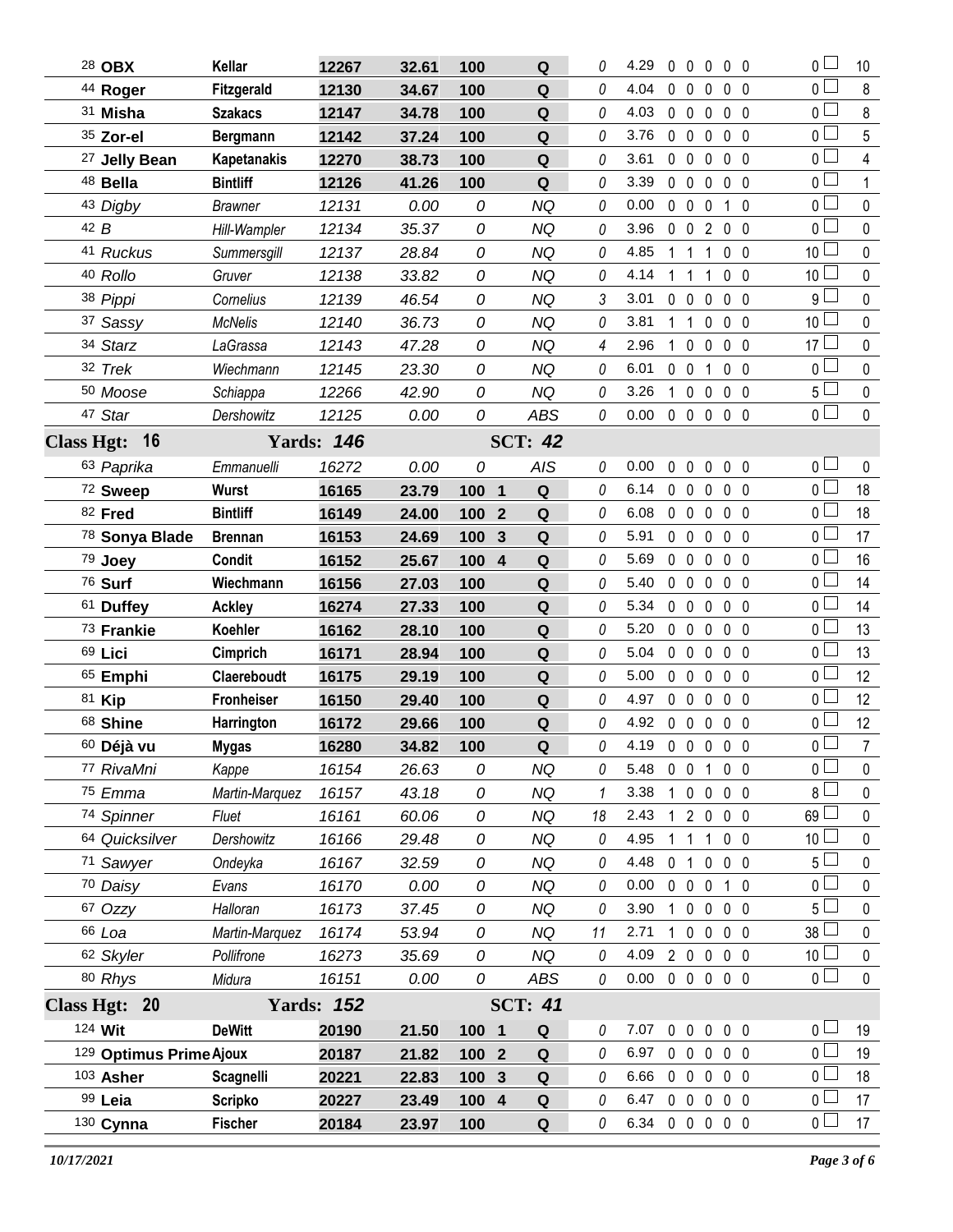| 28 OBX                   | Kellar             | 12267             | 32.61 | 100     | Q                            | 0  | 4.29           | $\mathbf{0}$ | $\mathbf{0}$      | $\mathbf 0$    | 0 <sub>0</sub>                 | $\overline{0}$  | 10             |
|--------------------------|--------------------|-------------------|-------|---------|------------------------------|----|----------------|--------------|-------------------|----------------|--------------------------------|-----------------|----------------|
| 44 Roger                 | Fitzgerald         | 12130             | 34.67 | 100     | ${\bf Q}$                    | 0  | 4.04           | $\mathbf 0$  | $\mathbf 0$       | $\mathbf 0$    | 0 <sub>0</sub>                 | $\overline{0}$  | 8              |
| 31 Misha                 | <b>Szakacs</b>     | 12147             | 34.78 | 100     | Q                            | 0  | 4.03           | $\mathbf 0$  | $\mathbf 0$       | $\mathbf 0$    | 0 <sub>0</sub>                 | $\overline{0}$  | 8              |
| 35 Zor-el                | Bergmann           | 12142             | 37.24 | 100     | ${\bf Q}$                    | 0  | 3.76           | $0\quad 0$   |                   | $\mathbf 0$    | 0 <sub>0</sub>                 | 0 <sup>1</sup>  | 5              |
| <sup>27</sup> Jelly Bean | <b>Kapetanakis</b> | 12270             | 38.73 | 100     | Q                            | 0  | 3.61           | $\mathbf 0$  | $\mathbf 0$       | $\mathbf 0$    | 0 <sub>0</sub>                 | 0 <sup>2</sup>  | 4              |
| 48 Bella                 | <b>Bintliff</b>    | 12126             | 41.26 | 100     | Q                            | 0  | 3.39           | $0\quad 0$   |                   | $\mathbf 0$    | 0 <sub>0</sub>                 | 0 <sup>1</sup>  |                |
| 43 Digby                 | <b>Brawner</b>     | 12131             | 0.00  | 0       | <b>NQ</b>                    | 0  | 0.00           | $\mathbf 0$  | $\mathbf 0$       | 0              | $\overline{0}$<br>$\mathbf{1}$ | 0 <sub>0</sub>  | $\pmb{0}$      |
| 42B                      | Hill-Wampler       | 12134             | 35.37 | 0       | <b>NQ</b>                    | 0  | 3.96           | $0\quad 0$   |                   | $\overline{2}$ | 0 <sub>0</sub>                 | 0 <sub>l</sub>  | $\mathbf 0$    |
| 41 Ruckus                | Summersgill        | 12137             | 28.84 | 0       | <b>NQ</b>                    | 0  | 4.85           |              | $\mathbf{1}$      | 1              | 0 <sub>0</sub>                 | 10 <sup>L</sup> | $\pmb{0}$      |
| 40 Rollo                 | Gruver             | 12138             | 33.82 | 0       | <b>NQ</b>                    | 0  | 4.14           | 1            | $\mathbf{1}$      | 1              | 0 <sub>0</sub>                 | 10 <sup>1</sup> | 0              |
| 38 Pippi                 | Cornelius          | 12139             | 46.54 | 0       | <b>NQ</b>                    | 3  | 3.01           | $\mathbf 0$  | $\mathbf 0$       | 0              | 0 <sub>0</sub>                 | $9+$            | $\pmb{0}$      |
| 37 Sassy                 | <b>McNelis</b>     | 12140             | 36.73 | 0       | <b>NQ</b>                    | 0  | 3.81           | $\mathbf{1}$ | $\overline{1}$    | $\mathbf 0$    | 0 <sub>0</sub>                 | 10 <sup>1</sup> | 0              |
| 34 Starz                 | LaGrassa           | 12143             | 47.28 | 0       | <b>NQ</b>                    | 4  | 2.96           | $\mathbf{1}$ | $\mathbf 0$       | 0              | 0 <sub>0</sub>                 | 17 $\Box$       | $\pmb{0}$      |
| 32 Trek                  | Wiechmann          | 12145             | 23.30 | 0       | <b>NQ</b>                    | 0  | 6.01           | $0\quad 0$   |                   | 1              | 0 <sub>0</sub>                 | 0 <sup>1</sup>  | $\mathbf 0$    |
| 50 Moose                 | Schiappa           | 12266             | 42.90 | 0       | NQ                           | 0  | 3.26           | $\mathbf 1$  | $\mathbf 0$       | $\mathbf 0$    | 0 <sub>0</sub>                 | 5 <sup>L</sup>  | $\pmb{0}$      |
| 47 Star                  | Dershowitz         | 12125             | 0.00  | 0       | <b>ABS</b>                   | 0  | 0.00           |              | 00000             |                |                                | 0 <sup>1</sup>  | $\mathbf 0$    |
| 16<br><b>Class Hgt:</b>  |                    | <b>Yards: 146</b> |       |         | <b>SCT: 42</b>               |    |                |              |                   |                |                                |                 |                |
| 63 Paprika               | Emmanuelli         | 16272             | 0.00  | 0       | <b>AIS</b>                   | 0  | 0.00           | $\mathbf 0$  | $\mathbf 0$       | $\mathbf 0$    | 0 <sub>0</sub>                 | 0 <sub>1</sub>  | $\mathbf 0$    |
| 72 Sweep                 | <b>Wurst</b>       | 16165             | 23.79 | $100 1$ | Q                            | 0  | 6.14           | $0\quad 0$   |                   | $\mathbf 0$    | 0 <sub>0</sub>                 | 0 <sub>1</sub>  | 18             |
| 82 Fred                  | <b>Bintliff</b>    | 16149             | 24.00 | 100     | Q<br>$\overline{2}$          | 0  | 6.08           | $0\quad 0$   |                   | $\mathbf 0$    | 0 <sub>0</sub>                 | 0 <sub>0</sub>  | 18             |
| 78 Sonya Blade           | <b>Brennan</b>     | 16153             | 24.69 | 100     | Q<br>3                       | 0  | 5.91           | $0\quad 0$   |                   | $\mathbf 0$    | $0\quad 0$                     | 0 <sup>1</sup>  | 17             |
| 79 Joey                  | Condit             | 16152             | 25.67 | 100     | Q<br>$\overline{\mathbf{4}}$ | 0  | 5.69           | $0\quad 0$   |                   | $\mathbf 0$    | 0 <sub>0</sub>                 | 0 <sup>L</sup>  | 16             |
| 76 Surf                  | Wiechmann          | 16156             | 27.03 | 100     | Q                            | 0  | 5.40           | $0\quad 0$   |                   | $\mathbf 0$    | 0 <sub>0</sub>                 | 0 <sup>1</sup>  | 14             |
| 61 Duffey                | <b>Ackley</b>      | 16274             | 27.33 | 100     | ${\bf Q}$                    | 0  | 5.34           | $0\quad 0$   |                   | $\mathbf 0$    | 0 <sub>0</sub>                 | 0 L             | 14             |
| 73 Frankie               | Koehler            | 16162             | 28.10 | 100     | ${\bf Q}$                    | 0  | 5.20           | $\mathbf 0$  | $\overline{0}$    | $\mathbf 0$    | $0\quad 0$                     | 0 <sub>0</sub>  | 13             |
| 69 Lici                  | Cimprich           | 16171             | 28.94 | 100     | Q                            | 0  | 5.04           | $0\quad 0$   |                   | $\mathbf 0$    | 0 <sub>0</sub>                 | 0 <sub>0</sub>  | 13             |
| 65 Emphi                 | Claereboudt        | 16175             | 29.19 | 100     | Q                            | 0  | 5.00           | $0\quad 0$   |                   | $\mathbf 0$    | 0 <sub>0</sub>                 | 0 <sub>0</sub>  | 12             |
| 81 Kip                   | <b>Fronheiser</b>  | 16150             | 29.40 | 100     | Q                            | 0  | 4.97           | $0\quad 0$   |                   | $\mathbf 0$    | 0 <sub>0</sub>                 | $0-$            | 12             |
| 68 Shine                 | Harrington         | 16172             | 29.66 | 100     | Q                            | 0  | 4.92           | $0\quad 0$   |                   | $\mathbf 0$    | 0 <sub>0</sub>                 | 0 <sup>1</sup>  | 12             |
| 60 Déjà vu               | Mygas              | 16280             | 34.82 | 100     | Q                            | 0  | 4.19 0 0 0 0 0 |              |                   |                |                                | 0 <sup>1</sup>  | $\overline{7}$ |
| 77 RivaMni               | Kappe              | 16154             | 26.63 | 0       | NQ                           | 0  | 5.48           |              | 0 0 1 0 0         |                |                                | 0 <sub>l</sub>  | 0              |
| 75 Emma                  | Martin-Marquez     | 16157             | 43.18 | 0       | <b>NQ</b>                    | 1  | 3.38           |              | $1 0 0$           |                | $0\quad 0$                     | 8l              | 0              |
| 74 Spinner               | Fluet              | 16161             | 60.06 | 0       | <b>NQ</b>                    | 18 | 2.43           | $\mathbf{1}$ | $2\quad0$         |                | $0\quad 0$                     | $69$ $-$        | 0              |
| 64 Quicksilver           | Dershowitz         | 16166             | 29.48 | 0       | <b>NQ</b>                    | 0  | 4.95           |              | $1\quad1$         | $\overline{1}$ | 0 <sub>0</sub>                 | 10 <sup>L</sup> | 0              |
| 71 Sawyer                | Ondeyka            | 16167             | 32.59 | 0       | <b>NQ</b>                    | 0  | 4.48           |              | 0 1 0 0 0         |                |                                | 5 <sub>1</sub>  | $\pmb{0}$      |
| 70 Daisy                 | Evans              | 16170             | 0.00  | 0       | <b>NQ</b>                    | 0  | 0.00           |              | $0\quad 0\quad 0$ |                | 1 0                            | 0 L             | 0              |
| 67 Ozzy                  | Halloran           | 16173             | 37.45 | 0       | <b>NQ</b>                    | 0  | 3.90           | $\mathbf{1}$ | $\mathbf 0$       | $\mathbf 0$    | $0\quad 0$                     | $5+$            | 0              |
| 66 Loa                   | Martin-Marquez     | 16174             | 53.94 | 0       | <b>NQ</b>                    | 11 | 2.71           | $\mathbf 1$  | $\mathbf 0$       | $\mathbf 0$    | $0\quad 0$                     | 38 l            | 0              |
| 62 Skyler                | Pollifrone         | 16273             | 35.69 | 0       | <b>NQ</b>                    | 0  | 4.09           |              | 2 0 0 0 0         |                |                                | 10 <sup>2</sup> | 0              |
| 80 Rhys                  | Midura             | 16151             | 0.00  | 0       | <b>ABS</b>                   | 0  | 0.00           |              | 0 0 0 0 0         |                |                                | 0 <sub>1</sub>  | $\mathbf 0$    |
| Class Hgt: 20            |                    | <b>Yards: 152</b> |       |         | <b>SCT: 41</b>               |    |                |              |                   |                |                                |                 |                |
| 124 Wit                  | <b>DeWitt</b>      | 20190             | 21.50 | 100 1   | Q                            | 0  | 7.07           |              | 0 0 0 0 0         |                |                                | 0 <sub>0</sub>  | 19             |
| 129 Optimus Prime Ajoux  |                    | 20187             | 21.82 | 100 2   | Q                            | 0  | 6.97           | $0\quad 0$   |                   | $\mathbf 0$    | 0 <sub>0</sub>                 | 0 <sup>1</sup>  | 19             |
| 103 Asher                | <b>Scagnelli</b>   | 20221             | 22.83 | 100 3   | ${\bf Q}$                    | 0  | 6.66           |              | $0\quad 0\quad 0$ |                | 0 <sub>0</sub>                 | 0 <sub>l</sub>  | 18             |
| 99 Leia                  | <b>Scripko</b>     | 20227             | 23.49 | 100 4   | Q                            | 0  | 6.47           |              | $0\quad 0\quad 0$ |                | $0\quad 0$                     | 0 <sub>0</sub>  | 17             |
| 130 Cynna                | <b>Fischer</b>     | 20184             | 23.97 | 100     | Q                            | 0  | 6.34 0 0 0 0 0 |              |                   |                |                                | 0 <sub>1</sub>  | 17             |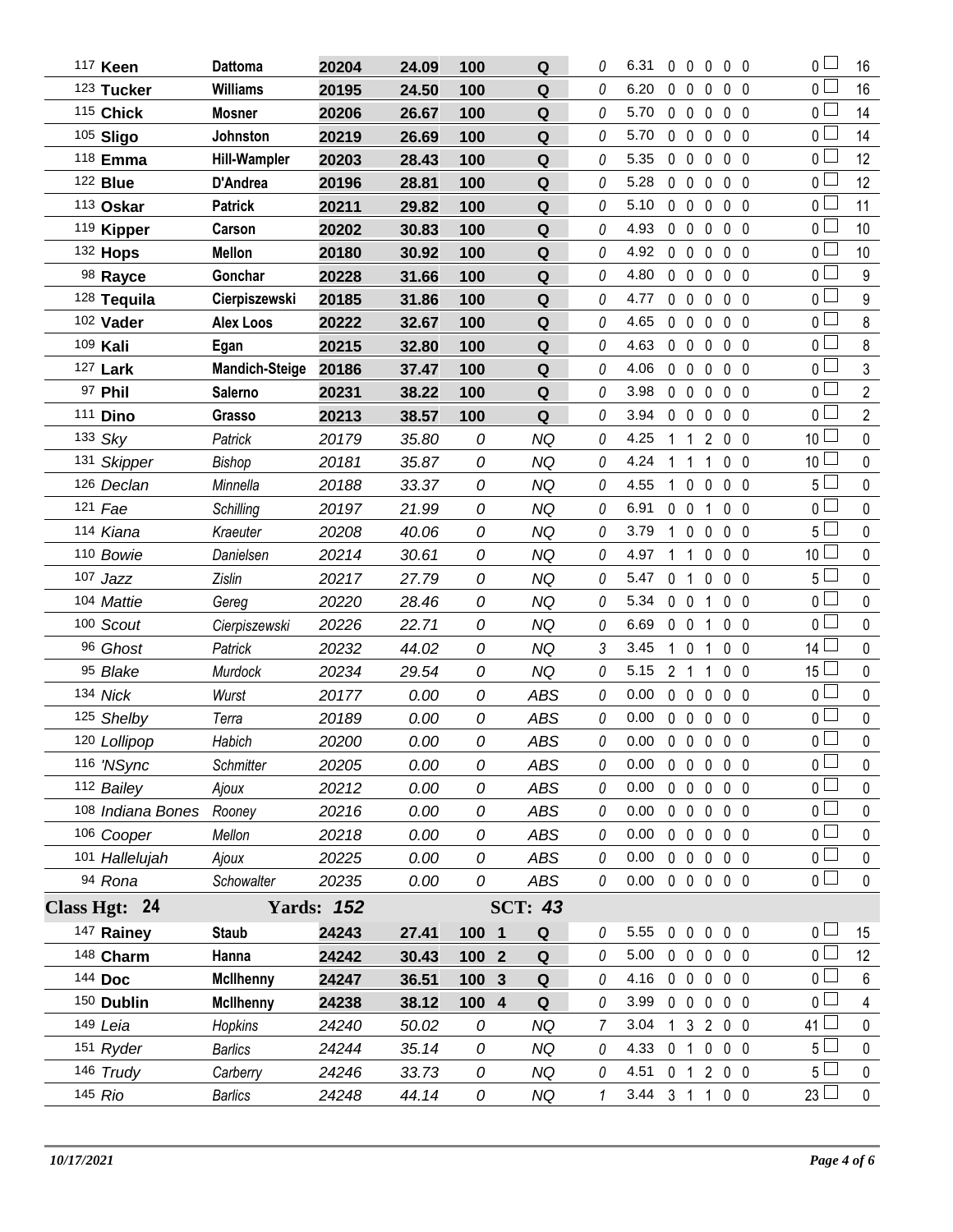| 117 Keen          | <b>Dattoma</b>        | 20204             | 24.09 | 100    | Q              | 0 | 6.31                       | $\mathbf 0$  | $\mathbf 0$       | 0            | 0 <sub>0</sub>           | $\overline{0}$        | 16                      |
|-------------------|-----------------------|-------------------|-------|--------|----------------|---|----------------------------|--------------|-------------------|--------------|--------------------------|-----------------------|-------------------------|
| 123 Tucker        | <b>Williams</b>       | 20195             | 24.50 | 100    | $\mathbf Q$    | 0 | 6.20                       | $\mathbf 0$  | $\mathbf 0$       | $\mathbf 0$  | 0 <sub>0</sub>           | 0 <sub>0</sub>        | 16                      |
| 115 Chick         | <b>Mosner</b>         | 20206             | 26.67 | 100    | $\mathbf Q$    | 0 | 5.70                       | $\mathbf 0$  | $\mathbf 0$       | $\mathbf 0$  | 0 <sub>0</sub>           | 0 <sub>0</sub>        | 14                      |
| 105 Sligo         | Johnston              | 20219             | 26.69 | 100    | Q              | 0 | 5.70                       | $\mathbf 0$  | $\mathbf 0$       | $\mathbf{0}$ | 0 <sub>0</sub>           | 0 <sub>1</sub>        | 14                      |
| 118 Emma          | <b>Hill-Wampler</b>   | 20203             | 28.43 | 100    | Q              | 0 | 5.35                       | $\mathbf 0$  | $\mathbf 0$       | $\mathbf{0}$ | 0 <sub>0</sub>           | 0 <sub>1</sub>        | 12                      |
| 122 <b>Blue</b>   | D'Andrea              | 20196             | 28.81 | 100    | ${\bf Q}$      | 0 | 5.28                       | $\mathbf 0$  | $\mathbf 0$       | 0            | 0 <sub>0</sub>           | 0 <sub>0</sub>        | 12                      |
| 113 Oskar         | <b>Patrick</b>        | 20211             | 29.82 | 100    | Q              | 0 | 5.10                       | $\mathbf{0}$ | $\mathbf 0$       | 0            | $0\quad 0$               | 0 <sub>0</sub>        | 11                      |
| 119 Kipper        | Carson                | 20202             | 30.83 | 100    | ${\bf Q}$      | 0 | 4.93                       | $\mathbf{0}$ | $\mathbf 0$       | $\mathbf{0}$ | 0 <sub>0</sub>           | 0 <sub>0</sub>        | 10                      |
| $132$ Hops        | <b>Mellon</b>         | 20180             | 30.92 | 100    | Q              | 0 | 4.92                       | $\mathbf{0}$ | $\mathbf 0$       | $\mathbf{0}$ | 0 <sub>0</sub>           | 0 <sub>0</sub>        | 10                      |
| 98 Rayce          | Gonchar               | 20228             | 31.66 | 100    | ${\bf Q}$      | 0 | 4.80                       | $\mathbf 0$  | $\mathbf 0$       | $\mathbf 0$  | $0\quad 0$               | 0 <sub>1</sub>        | $\boldsymbol{9}$        |
| 128 Tequila       | Cierpiszewski         | 20185             | 31.86 | 100    | Q              | 0 | 4.77                       | $\mathbf 0$  | $\mathbf 0$       | 0            | 0 <sub>0</sub>           | 0 <sub>0</sub>        | $\boldsymbol{9}$        |
| 102 Vader         | Alex Loos             | 20222             | 32.67 | 100    | Q              | 0 | 4.65                       | $\mathbf{0}$ | $\mathbf 0$       | $\mathbf{0}$ | 0 <sub>0</sub>           | 0 <sub>0</sub>        | $\,8\,$                 |
| 109 Kali          | Egan                  | 20215             | 32.80 | 100    | Q              | 0 | 4.63                       | $\mathbf 0$  | $\mathbf 0$       | $\mathbf{0}$ | 0 <sub>0</sub>           | 0 <sup>1</sup>        | 8                       |
| 127 Lark          | <b>Mandich-Steige</b> | 20186             | 37.47 | 100    | Q              | 0 | 4.06                       | $\mathbf 0$  | $\mathbf 0$       | 0            | $0\quad 0$               | $\overline{0}$ $\Box$ | $\mathfrak{Z}$          |
| 97 Phil           | <b>Salerno</b>        | 20231             | 38.22 | 100    | Q              | 0 | 3.98                       |              | $0\quad 0$        | $\mathbf 0$  | 0 <sub>0</sub>           | 0 <sub>0</sub>        | $\overline{2}$          |
| 111 Dino          | Grasso                | 20213             | 38.57 | 100    | Q              | 0 | 3.94                       | $\mathbf 0$  | $\mathbf 0$       | 0            | 0 <sub>0</sub>           | 0 <sub>l</sub>        | $\overline{2}$          |
| 133 Sky           | Patrick               | 20179             | 35.80 | 0      | NQ             | 0 | 4.25                       | $\mathbf{1}$ | $\mathbf 1$       | 2            | 0 <sub>0</sub>           | 10 <sup>2</sup>       | $\pmb{0}$               |
| 131 Skipper       | <b>Bishop</b>         | 20181             | 35.87 | 0      | <b>NQ</b>      | 0 | 4.24                       | 1            | $\mathbf{1}$      | 1            | 0 <sub>0</sub>           | 10 <sup>1</sup>       | $\pmb{0}$               |
| 126 Declan        | Minnella              | 20188             | 33.37 | 0      | <b>NQ</b>      | 0 | 4.55                       | $\mathbf{1}$ | $\mathbf 0$       | $\mathbf 0$  | 0 <sub>0</sub>           | 5 <sub>1</sub>        | $\pmb{0}$               |
| 121 Fae           | Schilling             | 20197             | 21.99 | 0      | <b>NQ</b>      | 0 | 6.91                       | $\mathbf 0$  | $\mathbf 0$       | 1            | 0 <sub>0</sub>           | 0 <sup>1</sup>        | $\pmb{0}$               |
| 114 Kiana         | Kraeuter              | 20208             | 40.06 | 0      | <b>NQ</b>      | 0 | 3.79                       | $\mathbf{1}$ | $\mathbf 0$       | $\mathbf 0$  | 0 <sub>0</sub>           | 5 <sub>1</sub>        | $\pmb{0}$               |
| 110 Bowie         | Danielsen             | 20214             | 30.61 | 0      | <b>NQ</b>      | 0 | 4.97                       | 1            | $\mathbf{1}$      | $\mathbf 0$  | $0\quad 0$               | 10 <sup>2</sup>       | $\pmb{0}$               |
| 107 Jazz          | <b>Zislin</b>         | 20217             | 27.79 | 0      | <b>NQ</b>      | 0 | 5.47                       |              | 0 <sub>1</sub>    | $\mathbf 0$  | 0 <sub>0</sub>           | $5+$                  | $\mathbf 0$             |
| 104 Mattie        | Gereg                 | 20220             | 28.46 | 0      | <b>NQ</b>      | 0 | 5.34                       | $\mathbf 0$  | $\mathbf 0$       | 1            | 0 <sub>0</sub>           | 0 <sub>l</sub>        | $\pmb{0}$               |
| 100 Scout         | Cierpiszewski         | 20226             | 22.71 | 0      | <b>NQ</b>      | 0 | 6.69                       | $\mathbf 0$  | $\mathbf 0$       | 1            | 0 <sub>0</sub>           | 0 <sub>l</sub>        | $\mathbf 0$             |
| 96 Ghost          | Patrick               | 20232             | 44.02 | 0      | <b>NQ</b>      | 3 | 3.45                       | $\mathbf{1}$ | $\mathbf 0$       | 1            | 0 <sub>0</sub>           | $14$ $\Box$           | $\pmb{0}$               |
| 95 Blake          | Murdock               | 20234             | 29.54 | 0      | <b>NQ</b>      | 0 | 5.15                       |              | 2 <sub>1</sub>    | 1            | 0 <sub>0</sub>           | 15                    | $\mathbf 0$             |
| 134 Nick          | Wurst                 | 20177             | 0.00  | 0      | <b>ABS</b>     | 0 | 0.00                       | $\mathbf 0$  | $\mathbf 0$       | 0            | 0 <sub>0</sub>           | 0 <sub>0</sub>        | $\pmb{0}$               |
| 125 Shelby        | Terra                 | 20189             | 0.00  | 0      | ABS            | 0 | 0.00                       | $\mathbf 0$  | $\mathbf 0$       | $\mathbf 0$  | 0 <sub>0</sub>           | 0 L                   | $\pmb{0}$               |
| 120 Lollipop      | Habich                | 20200             | 0.00  | 0      | <b>ABS</b>     | 0 | 0.00                       | $\mathbf 0$  |                   |              | $0\quad 0\quad 0\quad 0$ | 0 <sub>0</sub>        | 0                       |
| 116 'NSync        | Schmitter             | 20205             | 0.00  | 0      | ABS            | 0 | 0.00                       |              |                   |              | 00000                    | 0 <sub>0</sub>        | 0                       |
| 112 Bailey        | Ajoux                 | 20212             | 0.00  | 0      | ABS            | 0 | 0.00                       |              |                   |              | 0 0 0 0 0                | $\overline{0}$ $\Box$ | $\pmb{0}$               |
| 108 Indiana Bones | Rooney                | 20216             | 0.00  | 0      | ABS            | 0 | 0.00                       |              | $0\quad 0\quad 0$ |              | $0\quad 0$               | $0-$                  | 0                       |
| 106 Cooper        | Mellon                | 20218             | 0.00  | 0      | <b>ABS</b>     | 0 | 0.00                       |              |                   |              | 00000                    | 0 <sub>l</sub>        | $\pmb{0}$               |
| 101 Hallelujah    | Ajoux                 | 20225             | 0.00  | 0      | ABS            | 0 | 0.00                       |              |                   |              | 00000                    | 0 <sub>0</sub>        | 0                       |
| 94 Rona           | Schowalter            | 20235             | 0.00  | 0      | ABS            | 0 | $0.00 \t0 \t0 \t0 \t0 \t0$ |              |                   |              |                          | 0 <sub>l</sub>        | $\pmb{0}$               |
| Class Hgt: 24     |                       | <b>Yards: 152</b> |       |        | <b>SCT: 43</b> |   |                            |              |                   |              |                          |                       |                         |
| 147 Rainey        | <b>Staub</b>          | 24243             | 27.41 | 100 1  | Q              | 0 | 5.55                       |              |                   |              | 00000                    | 0 <sub>1</sub>        | 15                      |
| 148 Charm         | Hanna                 | 24242             | 30.43 | $1002$ | $\mathbf Q$    | 0 | 5.00                       |              |                   |              | 00000                    | 0 <sub>1</sub>        | 12                      |
| 144 Doc           | <b>McIlhenny</b>      | 24247             | 36.51 | 100 3  | Q              | 0 | 4.16                       |              | $0\quad 0\quad 0$ |              | 0 <sub>0</sub>           | 0 <sub>l</sub>        | 6                       |
| 150 Dublin        | <b>McIlhenny</b>      | 24238             | 38.12 | 100 4  | Q              | 0 | 3.99                       |              |                   |              | 00000                    | 0 <sub>1</sub>        | $\overline{\mathbf{4}}$ |
| 149 Leia          | Hopkins               | 24240             | 50.02 | 0      | <b>NQ</b>      | 7 | 3.04                       |              |                   |              | 1 3 2 0 0                | 41 L                  | 0                       |
| 151 Ryder         | <b>Barlics</b>        | 24244             | 35.14 | 0      | <b>NQ</b>      | 0 | 4.33                       |              |                   |              | 0 1 0 0 0                | 5 <sub>1</sub>        | $\pmb{0}$               |
| 146 Trudy         | Carberry              | 24246             | 33.73 | 0      | <b>NQ</b>      | 0 | 4.51                       |              |                   |              | 0 1 2 0 0                | 5 L                   | 0                       |
| 145 Rio           | <b>Barlics</b>        | 24248             | 44.14 | 0      | <b>NQ</b>      | 1 | 3.44                       |              |                   |              | 3 1 1 0 0                | $23 \Box$             | $\mathbf 0$             |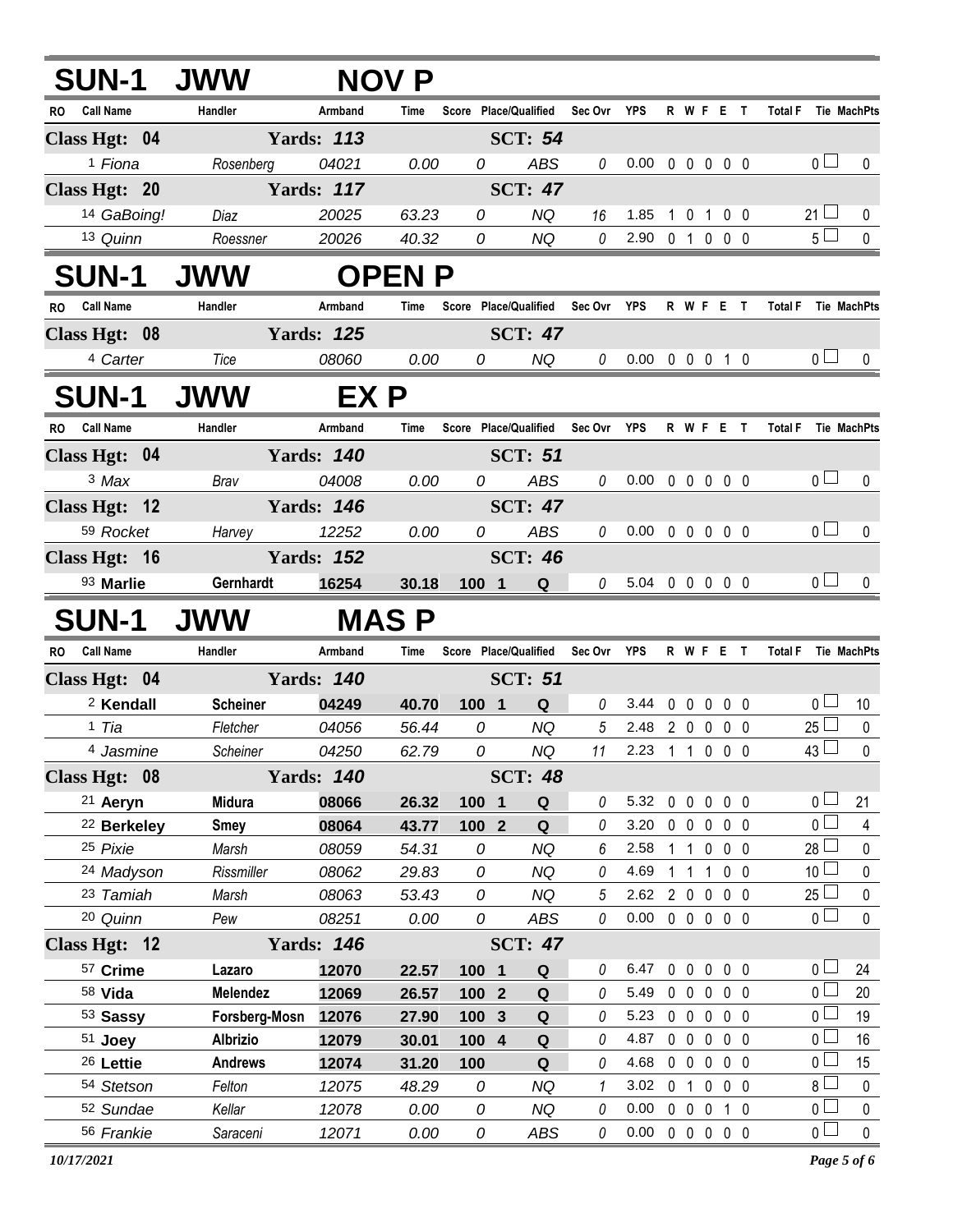|           | <b>SUN-1 JWW</b>          |                    |                            | <b>NOV P</b> |                |                                   |                 |                                              |                |             |              |                |                                  |                          |
|-----------|---------------------------|--------------------|----------------------------|--------------|----------------|-----------------------------------|-----------------|----------------------------------------------|----------------|-------------|--------------|----------------|----------------------------------|--------------------------|
|           | RO Call Name              | Handler            | Armband                    | Time         |                | Score Place/Qualified             | Sec Ovr YPS     |                                              |                |             |              | R W F E T      | <b>Total F</b>                   | <b>Tie MachPts</b>       |
|           | Class Hgt: 04             |                    | <b>Yards: 113</b>          |              |                | <b>SCT: 54</b>                    |                 |                                              |                |             |              |                |                                  |                          |
|           | <sup>1</sup> Fiona        | Rosenberg          | 04021                      | 0.00         | 0              | ABS                               | 0               | $0.00 \t0 \t0 \t0 \t0 \t0$                   |                |             |              |                | 0 <sub>0</sub>                   | 0                        |
|           | Class Hgt: 20             |                    | <b>Yards: 117</b>          |              |                | <b>SCT: 47</b>                    |                 |                                              |                |             |              |                |                                  |                          |
|           | 14 GaBoing!               | Diaz               | 20025                      | 63.23        | 0              | NQ                                | 16              | 1.85                                         | $\overline{1}$ | $\mathbf 0$ | $\mathbf{1}$ | $0\quad 0$     | $21 \Box$                        | 0                        |
|           | 13 Quinn                  | Roessner           | 20026                      | 40.32        | 0              | NQ                                | 0               | 2.90 0 1 0 0 0                               |                |             |              |                | $5\Box$                          | $\pmb{0}$                |
|           | <b>SUN-1 JWW</b>          |                    |                            | <b>OPENP</b> |                |                                   |                 |                                              |                |             |              |                |                                  |                          |
| <b>RO</b> | <b>Call Name</b>          | Handler            | Armband                    | Time         |                | Score Place/Qualified Sec Ovr YPS |                 |                                              |                |             |              | R W F E T      | <b>Total F</b>                   | Tie MachPts              |
|           | Class Hgt: 08             |                    | <b>Yards: 125</b>          |              |                | <b>SCT: 47</b>                    |                 |                                              |                |             |              |                |                                  |                          |
|           | 4 Carter                  | Tice               | 08060                      | 0.00         | 0              | NQ                                | $\theta$        | $0.00 \t0 \t0 \t0 \t1 \t0$                   |                |             |              |                | 0 <sub>0</sub>                   | $\mathbf{0}$             |
|           | <b>SUN-1</b>              | <b>UWW</b>         | EX P                       |              |                |                                   |                 |                                              |                |             |              |                |                                  |                          |
|           | RO Call Name              | Handler            | Armband                    | Time         |                | Score Place/Qualified Sec Ovr YPS |                 |                                              |                |             |              | R W F E T      | Total F Tie MachPts              |                          |
|           | Class Hgt: 04             |                    | <b>Yards: 140</b>          |              |                | <b>SCT: 51</b>                    |                 |                                              |                |             |              |                |                                  |                          |
|           | 3 Max                     | Brav               | 04008                      | 0.00         | 0              | ABS                               | 0               | $0.00 \t0 \t0 \t0 \t0 \t0$                   |                |             |              |                | 0 <sub>0</sub>                   | 0                        |
|           | Class Hgt: 12             |                    | <b>Yards: 146</b>          |              |                | <b>SCT: 47</b>                    |                 |                                              |                |             |              |                |                                  |                          |
|           | 59 Rocket                 | Harvey             | 12252                      | 0.00         | 0              | ABS                               | 0               | $0.00 \t0 \t0 \t0 \t0 \t0$                   |                |             |              |                | 0 <sup>1</sup>                   | 0                        |
|           | Class Hgt: 16             |                    | <b>Yards: 152</b>          |              |                | <b>SCT: 46</b>                    |                 |                                              |                |             |              |                |                                  |                          |
|           | 93 Marlie                 | Gernhardt          | 16254                      | 30.18        | $100$ 1        | Q                                 | $\theta$        | 5.04 0 0 0 0 0                               |                |             |              |                | 0 <sub>0</sub>                   | $\Omega$                 |
|           | <b>SUN-1</b>              | <b>JWW</b>         |                            | <b>MASP</b>  |                |                                   |                 |                                              |                |             |              |                |                                  |                          |
| <b>RO</b> | Call Name                 | Handler            | Armband                    | Time         |                | Score Place/Qualified Sec Ovr YPS |                 |                                              |                |             |              | R W F E T      | Total F Tie MachPts              |                          |
|           | Class Hgt: 04             |                    |                            |              |                |                                   |                 |                                              |                |             |              |                |                                  |                          |
|           |                           |                    | <b>Yards: 140</b>          |              |                | <b>SCT: 51</b>                    |                 |                                              |                |             |              |                |                                  |                          |
|           | <sup>2</sup> Kendall      | <b>Scheiner</b>    | 04249                      | 40.70        | 100 1          | Q                                 | 0               | 3.44                                         |                |             |              | 00000          | 0 <sub>l</sub>                   | 10                       |
|           | 1 Tia                     | Fletcher           | 04056                      | 56.44        | 0              | <b>NQ</b>                         | $5\overline{)}$ | 2.48 2 0 0 0 0                               |                |             |              |                | $25 \Box$                        | $\pmb{0}$                |
|           | 4 Jasmine                 | Scheiner 04250     |                            | 62.79        | $\overline{a}$ | NQ                                | 11              | 2.23 1 1 0 0 0                               |                |             |              |                | $43 \Box$                        | $\Omega$                 |
|           | Class Hgt: 08             |                    | <b>Yards: 140</b>          |              |                | <b>SCT: 48</b>                    |                 |                                              |                |             |              |                |                                  |                          |
|           | 21 Aeryn                  | <b>Midura</b>      | 08066                      | 26.32        | 100 1          | Q                                 | 0               | 5.32                                         | $0\quad 0$     |             | $\mathbf 0$  | 0 <sub>0</sub> | 0 <sub>0</sub>                   | 21                       |
|           | <sup>22</sup> Berkeley    | <b>Smey</b>        | 08064                      | 43.77        | 100 2          | Q                                 | 0               | 3.20                                         |                | $0\quad 0$  | $\mathbf 0$  | $0\quad 0$     | 0 <sup>2</sup>                   | $\overline{4}$           |
|           | 25 Pixie                  | Marsh              | 08059                      | 54.31        | 0              | <b>NQ</b>                         | 6               | 2.58                                         | 1              | $\mathbf 1$ | $\mathbf 0$  | $0\quad 0$     | $28$ $\Box$                      | 0                        |
|           | 24 Madyson                | Rissmiller         | 08062                      | 29.83        | 0              | <b>NQ</b>                         | 0               | 4.69                                         |                | $1 \quad 1$ | 1            | 0 <sub>0</sub> | 10 <sup>L</sup>                  | 0                        |
|           | 23 Tamiah                 | Marsh<br>Pew       | 08063                      | 53.43        | 0<br>0         | <b>NQ</b><br><b>ABS</b>           | 5<br>0          | 2.62 2 0 0 0 0<br>$0.00 \t0 \t0 \t0 \t0 \t0$ |                |             |              |                | $25 -$<br>0 <sub>0</sub>         | 0<br>$\mathbf 0$         |
|           | 20 Quinn<br>Class Hgt: 12 |                    | 08251<br><b>Yards: 146</b> | 0.00         |                | <b>SCT: 47</b>                    |                 |                                              |                |             |              |                |                                  |                          |
|           | 57 Crime                  | Lazaro             | 12070                      | 22.57        | 100 1          | Q                                 | 0               | 6.47                                         | $0\quad 0$     |             | $\mathbf 0$  | 0 <sub>0</sub> | 0 <sub>0</sub>                   | 24                       |
|           | 58 Vida                   | Melendez           | 12069                      | 26.57        | 100 2          | Q                                 | 0               | 5.49                                         |                | $0\quad 0$  | $\mathbf 0$  | $0\quad 0$     | 0 <sub>0</sub>                   | 20                       |
|           | 53 Sassy                  | Forsberg-Mosn      | 12076                      | 27.90        | 100 3          | ${\bf Q}$                         | 0               | 5.23                                         |                |             |              | 00000          | 0 <sub>0</sub>                   | 19                       |
|           | $51$ Joey                 | <b>Albrizio</b>    | 12079                      | 30.01        | 100 4          | ${\bf Q}$                         | 0               | 4.87                                         |                | $0\quad 0$  | $\mathbf 0$  | $0\quad 0$     | 0 <sub>0</sub>                   | 16                       |
|           | 26 Lettie                 | <b>Andrews</b>     | 12074                      | 31.20        | 100            | Q                                 | 0               | 4.68                                         |                | $0\quad 0$  | $\mathbf 0$  | $0\quad 0$     | 0 <sub>0</sub>                   | 15                       |
|           | 54 Stetson                | Felton             | 12075                      | 48.29        | 0              | <b>NQ</b>                         | 1               | 3.02                                         | 0 <sub>1</sub> |             | $\mathbf 0$  | $0\quad 0$     | $8\perp$                         | $\mathbf 0$              |
|           | 52 Sundae<br>56 Frankie   | Kellar<br>Saraceni | 12078<br>12071             | 0.00<br>0.00 | 0<br>0         | NQ<br>ABS                         | 0<br>0          | 0.00<br>$0.00 \t0 \t0 \t0 \t0 \t0$           |                |             |              | 0 0 0 1 0      | 0 <sub>0</sub><br>0 <sub>1</sub> | $\pmb{0}$<br>$\mathbf 0$ |